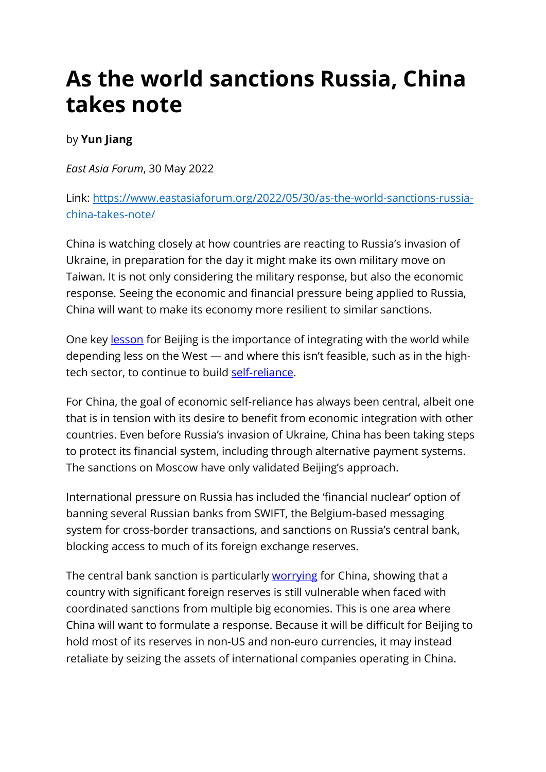## **As the world sanctions Russia, China takes note**

## by **Yun Jiang**

*East Asia Forum*, 30 May 2022

Link: [https://www.eastasiaforum.org/2022/05/30/as-the-world-sanctions-russia](https://www.eastasiaforum.org/2022/05/30/as-the-world-sanctions-russia-china-takes-note/)[china-takes-note/](https://www.eastasiaforum.org/2022/05/30/as-the-world-sanctions-russia-china-takes-note/) 

China is watching closely at how countries are reacting to Russia's invasion of Ukraine, in preparation for the day it might make its own military move on Taiwan. It is not only considering the military response, but also the economic response. Seeing the economic and financial pressure being applied to Russia, China will want to make its economy more resilient to similar sanctions.

One key [lesson](https://www.eastasiaforum.org/2022/03/29/lessons-of-sanctions-on-russia-for-china/) for Beijing is the importance of integrating with the world while depending less on the West — and where this isn't feasible, such as in the hightech sector, to continue to build [self-reliance.](https://www.eastasiaforum.org/2022/05/08/the-international-financial-consequences-of-mr-putin/)

For China, the goal of economic self-reliance has always been central, albeit one that is in tension with its desire to benefit from economic integration with other countries. Even before Russia's invasion of Ukraine, China has been taking steps to protect its financial system, including through alternative payment systems. The sanctions on Moscow have only validated Beijing's approach.

International pressure on Russia has included the 'financial nuclear' option of banning several Russian banks from SWIFT, the Belgium-based messaging system for cross-border transactions, and sanctions on Russia's central bank, blocking access to much of its foreign exchange reserves.

The central bank sanction is particularly [worrying](https://www.eastasiaforum.org/2022/05/09/the-unintended-consequences-of-financial-sanctions-on-russia-and-what-they-mean-for-china/) for China, showing that a country with significant foreign reserves is still vulnerable when faced with coordinated sanctions from multiple big economies. This is one area where China will want to formulate a response. Because it will be difficult for Beijing to hold most of its reserves in non-US and non-euro currencies, it may instead retaliate by seizing the assets of international companies operating in China.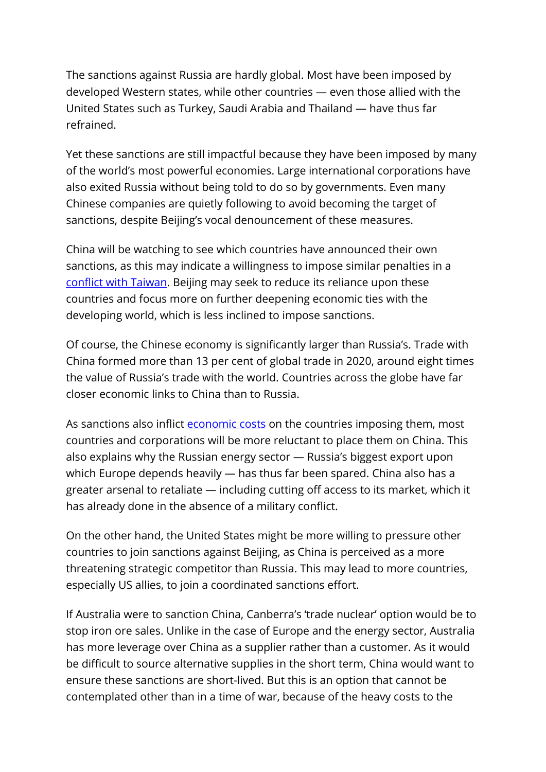The sanctions against Russia are hardly global. Most have been imposed by developed Western states, while other countries — even those allied with the United States such as Turkey, Saudi Arabia and Thailand — have thus far refrained.

Yet these sanctions are still impactful because they have been imposed by many of the world's most powerful economies. Large international corporations have also exited Russia without being told to do so by governments. Even many Chinese companies are quietly following to avoid becoming the target of sanctions, despite Beijing's vocal denouncement of these measures.

China will be watching to see which countries have announced their own sanctions, as this may indicate a willingness to impose similar penalties in a [conflict with Taiwan.](https://www.eastasiaforum.org/2022/03/08/sanctions-on-putin-offer-no-playbook-for-china-and-taiwan/) Beijing may seek to reduce its reliance upon these countries and focus more on further deepening economic ties with the developing world, which is less inclined to impose sanctions.

Of course, the Chinese economy is significantly larger than Russia's. Trade with China formed more than 13 per cent of global trade in 2020, around eight times the value of Russia's trade with the world. Countries across the globe have far closer economic links to China than to Russia.

As sanctions also inflict [economic costs](https://www.eastasiaforum.org/2022/05/16/the-price-of-the-sanctions-on-russia-for-the-west/) on the countries imposing them, most countries and corporations will be more reluctant to place them on China. This also explains why the Russian energy sector — Russia's biggest export upon which Europe depends heavily — has thus far been spared. China also has a greater arsenal to retaliate — including cutting off access to its market, which it has already done in the absence of a military conflict.

On the other hand, the United States might be more willing to pressure other countries to join sanctions against Beijing, as China is perceived as a more threatening strategic competitor than Russia. This may lead to more countries, especially US allies, to join a coordinated sanctions effort.

If Australia were to sanction China, Canberra's 'trade nuclear' option would be to stop iron ore sales. Unlike in the case of Europe and the energy sector, Australia has more leverage over China as a supplier rather than a customer. As it would be difficult to source alternative supplies in the short term, China would want to ensure these sanctions are short-lived. But this is an option that cannot be contemplated other than in a time of war, because of the heavy costs to the